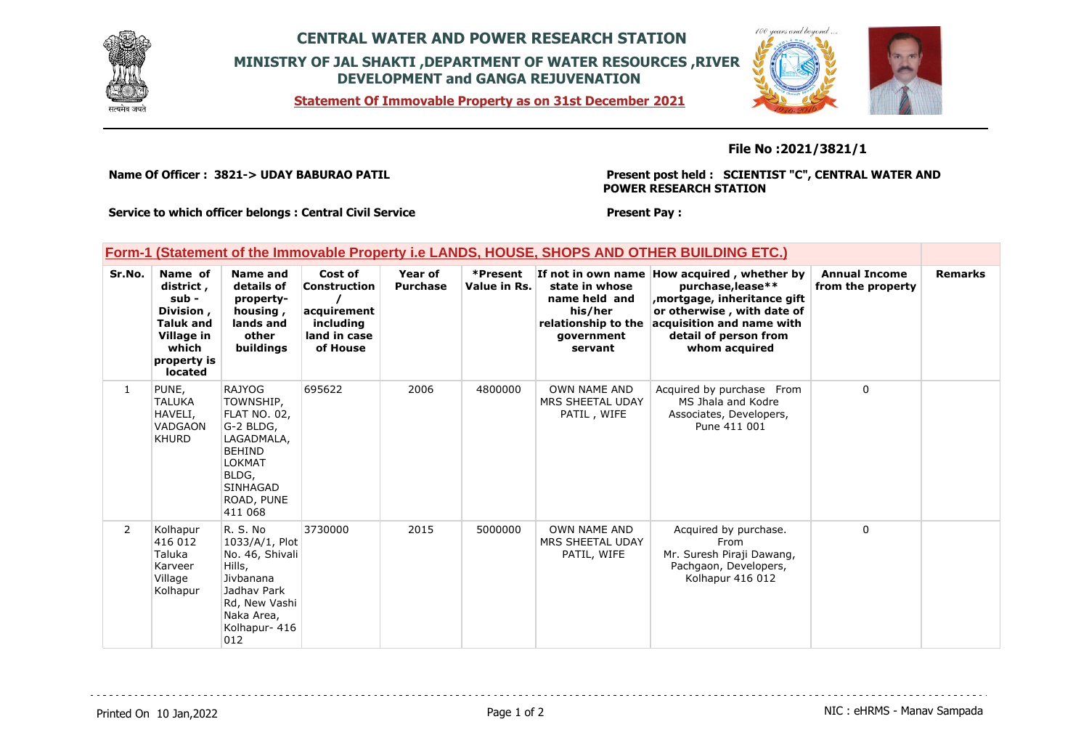

## **CENTRAL WATER AND POWER RESEARCH STATION MINISTRY OF JAL SHAKTI ,DEPARTMENT OF WATER RESOURCES ,RIVER DEVELOPMENT and GANGA REJUVENATION**

**Statement Of Immovable Property as on 31st December 2021**

### **File No :2021/3821/1**

**Name Of Officer : 3821-> UDAY BABURAO PATIL** 

**Present post held : SCIENTIST "C", CENTRAL WATER AND POWER RESEARCH STATION**

 $100$ secon caso

**Service to which officer belongs : Central Civil Service**

**Present Pay :** 

#### **Form-1 (Statement of the Immovable Property i.e LANDS, HOUSE, SHOPS AND OTHER BUILDING ETC.)**

| Sr.No.         | Name of<br>district,<br>sub -<br>Division,<br><b>Taluk and</b><br>Village in<br>which<br>property is<br>located | Name and<br>details of<br>property-<br>housing,<br>lands and<br>other<br>buildings                                                                           | Cost of<br><b>Construction</b><br>acquirement<br>including<br>land in case<br>of House | Year of<br><b>Purchase</b> | *Present<br>Value in Rs. | If not in own name<br>state in whose<br>name held and<br>his/her<br>relationship to the<br>government<br>servant | How acquired, whether by<br>purchase, lease**<br>mortgage, inheritance gift,<br>or otherwise, with date of<br>acquisition and name with<br>detail of person from<br>whom acquired | <b>Annual Income</b><br>from the property | <b>Remarks</b> |
|----------------|-----------------------------------------------------------------------------------------------------------------|--------------------------------------------------------------------------------------------------------------------------------------------------------------|----------------------------------------------------------------------------------------|----------------------------|--------------------------|------------------------------------------------------------------------------------------------------------------|-----------------------------------------------------------------------------------------------------------------------------------------------------------------------------------|-------------------------------------------|----------------|
| $\mathbf{1}$   | PUNE,<br><b>TALUKA</b><br>HAVELI,<br><b>VADGAON</b><br><b>KHURD</b>                                             | <b>RAJYOG</b><br>TOWNSHIP,<br>FLAT NO. 02,<br>G-2 BLDG,<br>LAGADMALA,<br><b>BEHIND</b><br><b>LOKMAT</b><br>BLDG,<br><b>SINHAGAD</b><br>ROAD, PUNE<br>411 068 | 695622                                                                                 | 2006                       | 4800000                  | OWN NAME AND<br>MRS SHEETAL UDAY<br>PATIL, WIFE                                                                  | Acquired by purchase From<br>MS Jhala and Kodre<br>Associates, Developers,<br>Pune 411 001                                                                                        | $\mathbf 0$                               |                |
| $\overline{2}$ | Kolhapur<br>416 012<br>Taluka<br>Karveer<br>Village<br>Kolhapur                                                 | R. S. No<br>1033/A/1, Plot<br>No. 46, Shivali<br>Hills,<br>Jivbanana<br>Jadhav Park<br>Rd, New Vashi<br>Naka Area,<br>Kolhapur- 416<br>012                   | 3730000                                                                                | 2015                       | 5000000                  | <b>OWN NAME AND</b><br>MRS SHEETAL UDAY<br>PATIL, WIFE                                                           | Acquired by purchase.<br>From<br>Mr. Suresh Piraji Dawang,<br>Pachgaon, Developers,<br>Kolhapur 416 012                                                                           | $\mathbf 0$                               |                |

Printed On 10 Jan, 2022 **Page 1 of 2** Page 1 of 2 **Page 1 of 2** NIC : eHRMS - Manav Sampada